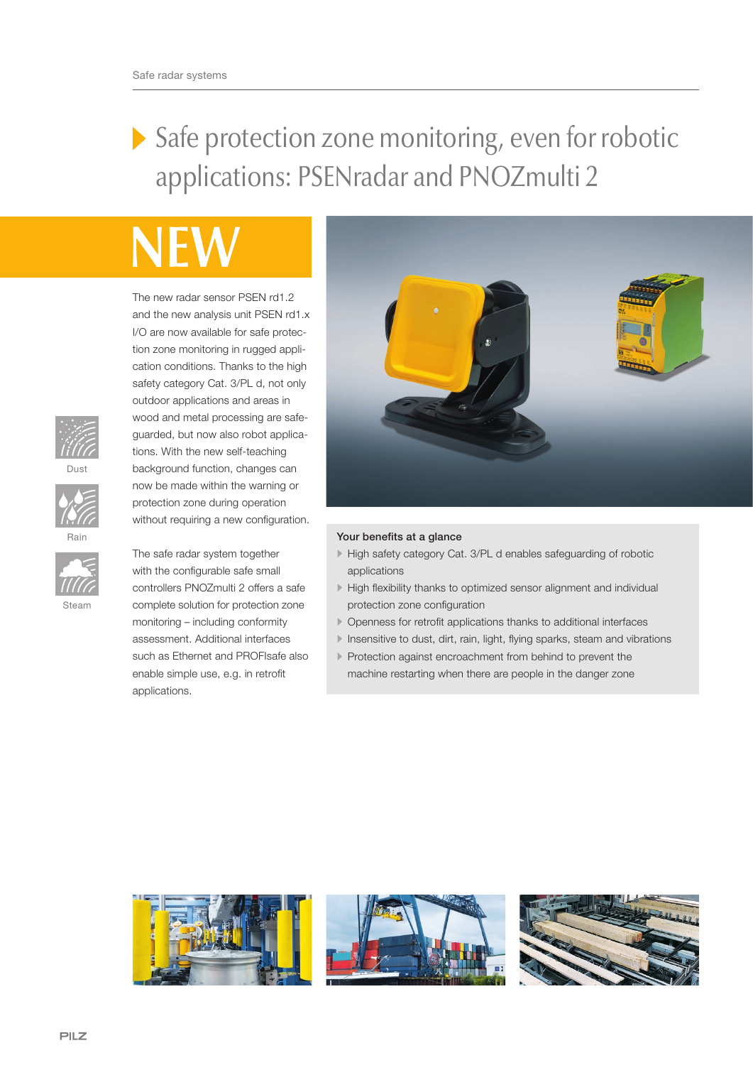## Safe protection zone monitoring, even for robotic applications: PSENradar and PNOZmulti 2

The new radar sensor PSEN rd1.2 and the new analysis unit PSEN rd1.x I/O are now available for safe protection zone monitoring in rugged application conditions. Thanks to the high safety category Cat. 3/PL d, not only outdoor applications and areas in wood and metal processing are safeguarded, but now also robot applications. With the new self-teaching background function, changes can now be made within the warning or protection zone during operation without requiring a new configuration.

The safe radar system together with the configurable safe small controllers PNOZmulti 2 offers a safe complete solution for protection zone monitoring – including conformity assessment. Additional interfaces such as Ethernet and PROFIsafe also enable simple use, e.g. in retrofit

applications.







Steam



## Your benefits at a glance

- High safety category Cat. 3/PL d enables safeguarding of robotic applications
- High flexibility thanks to optimized sensor alignment and individual protection zone configuration
- Openness for retrofit applications thanks to additional interfaces
- Insensitive to dust, dirt, rain, light, flying sparks, steam and vibrations
- Protection against encroachment from behind to prevent the machine restarting when there are people in the danger zone